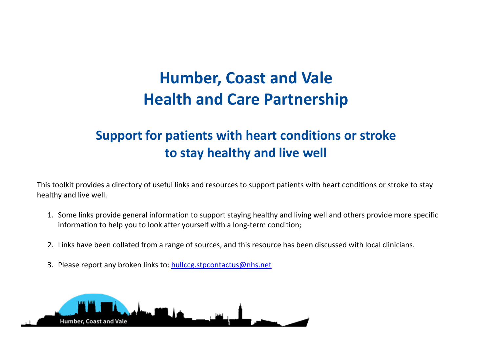## **Humber, Coast and Vale Health and Care Partnership**

## **Support for patients with heart conditions or stroke to stay healthy and live well**

This toolkit provides a directory of useful links and resources to support patients with heart conditions or stroke to stay healthy and live well.

- 1. Some links provide general information to support staying healthy and living well and others provide more specific information to help you to look after yourself with a long-term condition;
- 2. Links have been collated from a range of sources, and this resource has been discussed with local clinicians.
- 3. Please report any broken links to: [hullccg.stpcontactus@nhs.net](mailto:hullccg.stpcontactus@nhs.net)

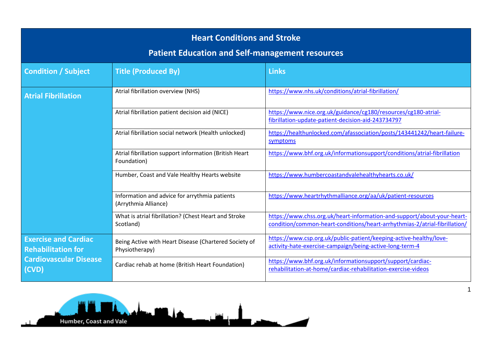| <b>Heart Conditions and Stroke</b><br><b>Patient Education and Self-management resources</b>       |                                                                         |                                                                                                                                                       |  |  |
|----------------------------------------------------------------------------------------------------|-------------------------------------------------------------------------|-------------------------------------------------------------------------------------------------------------------------------------------------------|--|--|
| <b>Condition / Subject</b>                                                                         | <b>Title (Produced By)</b>                                              | <b>Links</b>                                                                                                                                          |  |  |
| <b>Atrial Fibrillation</b>                                                                         | Atrial fibrillation overview (NHS)                                      | https://www.nhs.uk/conditions/atrial-fibrillation/                                                                                                    |  |  |
|                                                                                                    | Atrial fibrillation patient decision aid (NICE)                         | https://www.nice.org.uk/guidance/cg180/resources/cg180-atrial-<br>fibrillation-update-patient-decision-aid-243734797                                  |  |  |
|                                                                                                    | Atrial fibrillation social network (Health unlocked)                    | https://healthunlocked.com/afassociation/posts/143441242/heart-failure-<br>symptoms                                                                   |  |  |
|                                                                                                    | Atrial fibrillation support information (British Heart<br>Foundation)   | https://www.bhf.org.uk/informationsupport/conditions/atrial-fibrillation                                                                              |  |  |
|                                                                                                    | Humber, Coast and Vale Healthy Hearts website                           | https://www.humbercoastandvalehealthyhearts.co.uk/                                                                                                    |  |  |
|                                                                                                    | Information and advice for arrythmia patients<br>(Arrythmia Alliance)   | https://www.heartrhythmalliance.org/aa/uk/patient-resources                                                                                           |  |  |
|                                                                                                    | What is atrial fibrillation? (Chest Heart and Stroke<br>Scotland)       | https://www.chss.org.uk/heart-information-and-support/about-your-heart-<br>condition/common-heart-conditions/heart-arrhythmias-2/atrial-fibrillation/ |  |  |
| <b>Exercise and Cardiac</b><br><b>Rehabilitation for</b><br><b>Cardiovascular Disease</b><br>(CVD) | Being Active with Heart Disease (Chartered Society of<br>Physiotherapy) | https://www.csp.org.uk/public-patient/keeping-active-healthy/love-<br>activity-hate-exercise-campaign/being-active-long-term-4                        |  |  |
|                                                                                                    | Cardiac rehab at home (British Heart Foundation)                        | https://www.bhf.org.uk/informationsupport/support/cardiac-<br>rehabilitation-at-home/cardiac-rehabilitation-exercise-videos                           |  |  |

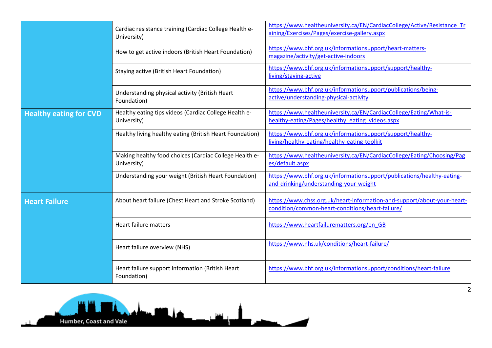|                               | Cardiac resistance training (Cardiac College Health e-<br>University) | https://www.healtheuniversity.ca/EN/CardiacCollege/Active/Resistance Tr<br>aining/Exercises/Pages/exercise-gallery.aspx     |
|-------------------------------|-----------------------------------------------------------------------|-----------------------------------------------------------------------------------------------------------------------------|
|                               | How to get active indoors (British Heart Foundation)                  | https://www.bhf.org.uk/informationsupport/heart-matters-<br>magazine/activity/get-active-indoors                            |
|                               | Staying active (British Heart Foundation)                             | https://www.bhf.org.uk/informationsupport/support/healthy-<br>living/staying-active                                         |
|                               | Understanding physical activity (British Heart<br>Foundation)         | https://www.bhf.org.uk/informationsupport/publications/being-<br>active/understanding-physical-activity                     |
| <b>Healthy eating for CVD</b> | Healthy eating tips videos (Cardiac College Health e-<br>University)  | https://www.healtheuniversity.ca/EN/CardiacCollege/Eating/What-is-<br>healthy-eating/Pages/healthy eating videos.aspx       |
|                               | Healthy living healthy eating (British Heart Foundation)              | https://www.bhf.org.uk/informationsupport/support/healthy-<br>living/healthy-eating/healthy-eating-toolkit                  |
|                               | Making healthy food choices (Cardiac College Health e-<br>University) | https://www.healtheuniversity.ca/EN/CardiacCollege/Eating/Choosing/Pag<br>es/default.aspx                                   |
|                               | Understanding your weight (British Heart Foundation)                  | https://www.bhf.org.uk/informationsupport/publications/healthy-eating-<br>and-drinking/understanding-your-weight            |
| <b>Heart Failure</b>          | About heart failure (Chest Heart and Stroke Scotland)                 | https://www.chss.org.uk/heart-information-and-support/about-your-heart-<br>condition/common-heart-conditions/heart-failure/ |
|                               | Heart failure matters                                                 | https://www.heartfailurematters.org/en GB                                                                                   |
|                               | Heart failure overview (NHS)                                          | https://www.nhs.uk/conditions/heart-failure/                                                                                |
|                               | Heart failure support information (British Heart<br>Foundation)       | https://www.bhf.org.uk/informationsupport/conditions/heart-failure                                                          |

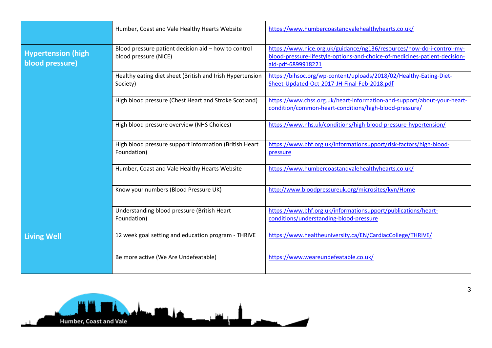|                                              | Humber, Coast and Vale Healthy Hearts Website                                 | https://www.humbercoastandvalehealthyhearts.co.uk/                                                                                                                        |
|----------------------------------------------|-------------------------------------------------------------------------------|---------------------------------------------------------------------------------------------------------------------------------------------------------------------------|
| <b>Hypertension (high</b><br>blood pressure) | Blood pressure patient decision aid - how to control<br>blood pressure (NICE) | https://www.nice.org.uk/guidance/ng136/resources/how-do-i-control-my-<br>blood-pressure-lifestyle-options-and-choice-of-medicines-patient-decision-<br>aid-pdf-6899918221 |
|                                              | Healthy eating diet sheet (British and Irish Hypertension<br>Society)         | https://bihsoc.org/wp-content/uploads/2018/02/Healthy-Eating-Diet-<br>Sheet-Updated-Oct-2017-JH-Final-Feb-2018.pdf                                                        |
|                                              | High blood pressure (Chest Heart and Stroke Scotland)                         | https://www.chss.org.uk/heart-information-and-support/about-your-heart-<br>condition/common-heart-conditions/high-blood-pressure/                                         |
|                                              | High blood pressure overview (NHS Choices)                                    | https://www.nhs.uk/conditions/high-blood-pressure-hypertension/                                                                                                           |
|                                              | High blood pressure support information (British Heart<br>Foundation)         | https://www.bhf.org.uk/informationsupport/risk-factors/high-blood-<br>pressure                                                                                            |
|                                              | Humber, Coast and Vale Healthy Hearts Website                                 | https://www.humbercoastandvalehealthyhearts.co.uk/                                                                                                                        |
|                                              | Know your numbers (Blood Pressure UK)                                         | http://www.bloodpressureuk.org/microsites/kyn/Home                                                                                                                        |
|                                              | Understanding blood pressure (British Heart<br>Foundation)                    | https://www.bhf.org.uk/informationsupport/publications/heart-<br>conditions/understanding-blood-pressure                                                                  |
| <b>Living Well</b>                           | 12 week goal setting and education program - THRIVE                           | https://www.healtheuniversity.ca/EN/CardiacCollege/THRIVE/                                                                                                                |
|                                              | Be more active (We Are Undefeatable)                                          | https://www.weareundefeatable.co.uk/                                                                                                                                      |

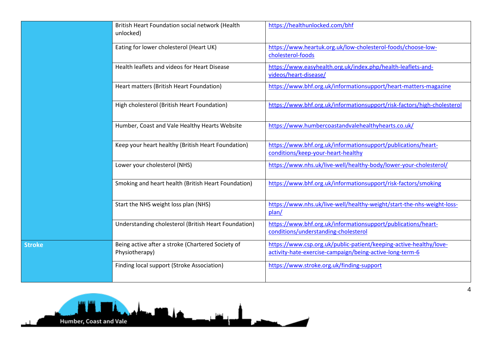|               | British Heart Foundation social network (Health<br>unlocked)        | https://healthunlocked.com/bhf                                                                                                 |
|---------------|---------------------------------------------------------------------|--------------------------------------------------------------------------------------------------------------------------------|
|               | Eating for lower cholesterol (Heart UK)                             | https://www.heartuk.org.uk/low-cholesterol-foods/choose-low-<br>cholesterol-foods                                              |
|               | Health leaflets and videos for Heart Disease                        | https://www.easyhealth.org.uk/index.php/health-leaflets-and-<br>videos/heart-disease/                                          |
|               | Heart matters (British Heart Foundation)                            | https://www.bhf.org.uk/informationsupport/heart-matters-magazine                                                               |
|               | High cholesterol (British Heart Foundation)                         | https://www.bhf.org.uk/informationsupport/risk-factors/high-cholesterol                                                        |
|               | Humber, Coast and Vale Healthy Hearts Website                       | https://www.humbercoastandvalehealthyhearts.co.uk/                                                                             |
|               | Keep your heart healthy (British Heart Foundation)                  | https://www.bhf.org.uk/informationsupport/publications/heart-<br>conditions/keep-your-heart-healthy                            |
|               | Lower your cholesterol (NHS)                                        | https://www.nhs.uk/live-well/healthy-body/lower-your-cholesterol/                                                              |
|               | Smoking and heart health (British Heart Foundation)                 | https://www.bhf.org.uk/informationsupport/risk-factors/smoking                                                                 |
|               | Start the NHS weight loss plan (NHS)                                | https://www.nhs.uk/live-well/healthy-weight/start-the-nhs-weight-loss-<br>plan/                                                |
|               | Understanding cholesterol (British Heart Foundation)                | https://www.bhf.org.uk/informationsupport/publications/heart-<br>conditions/understanding-cholesterol                          |
| <b>Stroke</b> | Being active after a stroke (Chartered Society of<br>Physiotherapy) | https://www.csp.org.uk/public-patient/keeping-active-healthy/love-<br>activity-hate-exercise-campaign/being-active-long-term-6 |
|               | Finding local support (Stroke Association)                          | https://www.stroke.org.uk/finding-support                                                                                      |
|               |                                                                     |                                                                                                                                |